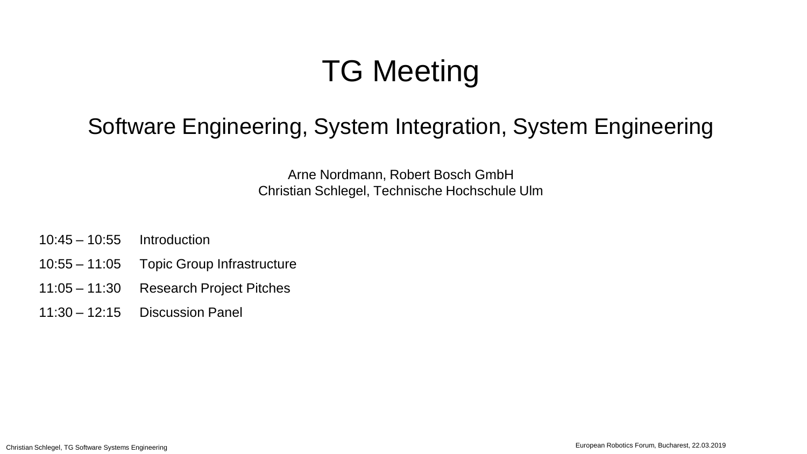# TG Meeting

## Software Engineering, System Integration, System Engineering

Arne Nordmann, Robert Bosch GmbH Christian Schlegel, Technische Hochschule Ulm

- 10:45 10:55 Introduction
- 10:55 11:05 Topic Group Infrastructure
- 11:05 11:30 Research Project Pitches
- 11:30 12:15 Discussion Panel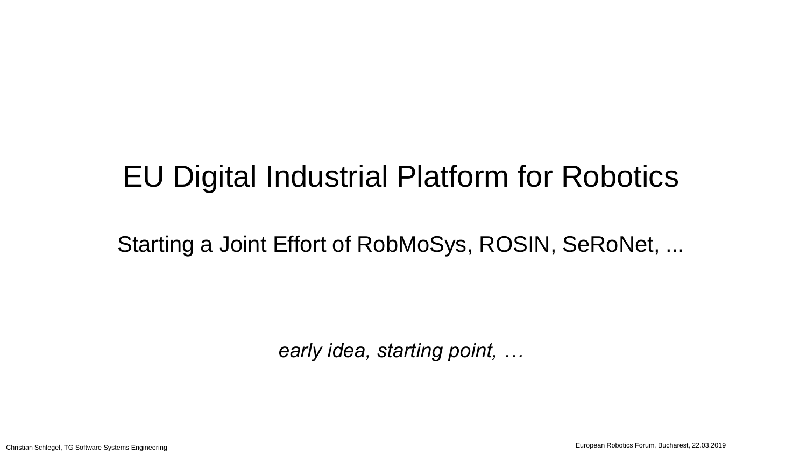Starting a Joint Effort of RobMoSys, ROSIN, SeRoNet, ...

*early idea, starting point, …*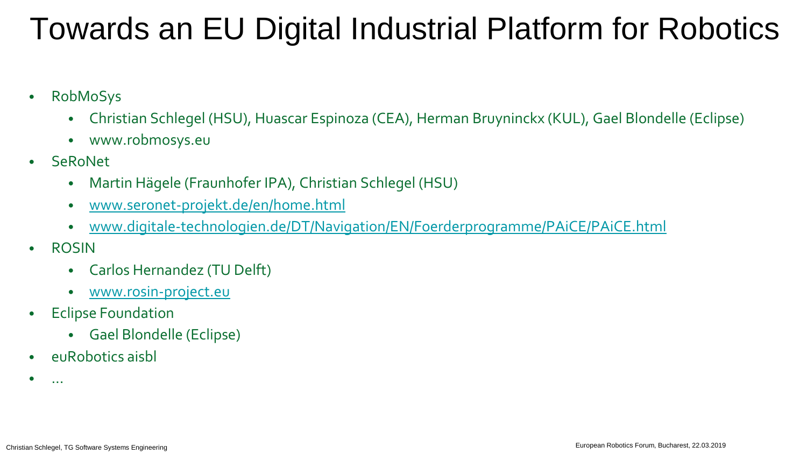## Towards an EU Digital Industrial Platform for Robotics

- RobMoSys
	- Christian Schlegel (HSU), Huascar Espinoza (CEA), Herman Bruyninckx (KUL), Gael Blondelle (Eclipse)
	- www.robmosys.eu
- **SeRoNet** 
	- Martin Hägele (Fraunhofer IPA), Christian Schlegel (HSU)
	- [www.seronet-projekt.de/en/home.html](http://www.seronet-projekt.de/en/home.html)
	- [www.digitale-technologien.de/DT/Navigation/EN/Foerderprogramme/PAiCE/PAiCE.html](https://www.digitale-technologien.de/DT/Navigation/EN/Foerderprogramme/PAiCE/PAiCE.html)
- ROSIN
	- Carlos Hernandez (TU Delft)
	- [www.rosin-project.eu](http://www.rosin-project.eu/)
- Eclipse Foundation
	- Gael Blondelle (Eclipse)
- euRobotics aisbl
- $\bullet$  ...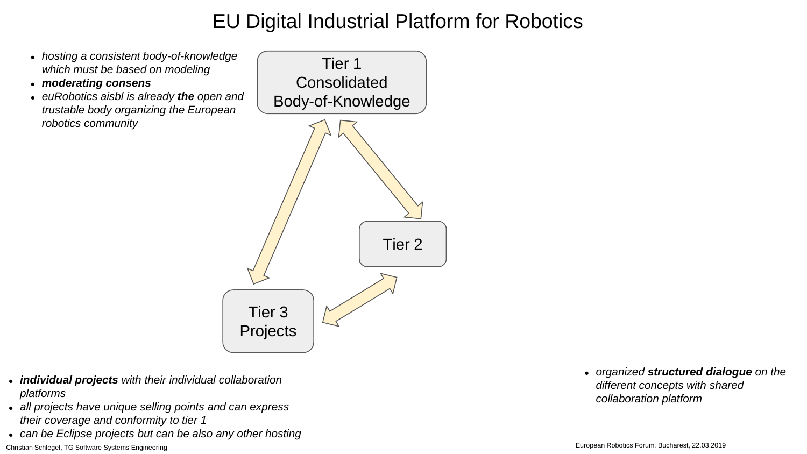- *hosting a consistent body-of-knowledge which must be based on modeling*
- *moderating consens*
- *euRobotics aisbl is already the open and trustable body organizing the European robotics community*



- *individual projects with their individual collaboration platforms*
- *all projects have unique selling points and can express their coverage and conformity to tier 1*
- *can be Eclipse projects but can be also any other hosting*

● *organized structured dialogue on the different concepts with shared collaboration platform*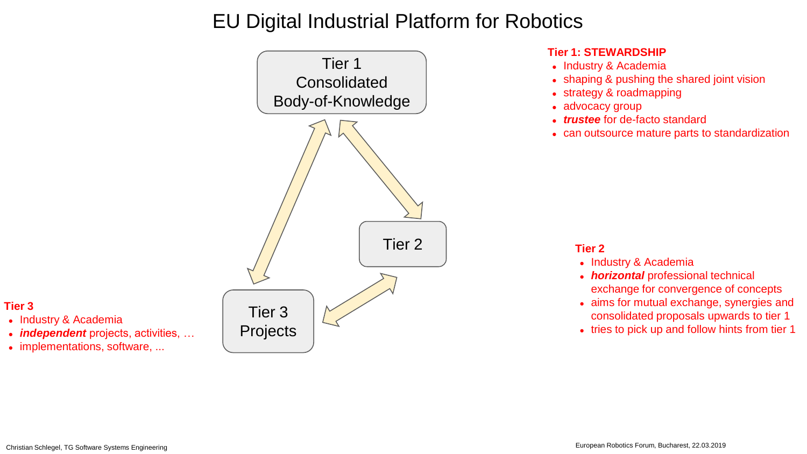

#### **Tier 1: STEWARDSHIP**

- Industry & Academia
- shaping & pushing the shared joint vision
- strategy & roadmapping
- advocacy group
- *trustee* for de-facto standard
- can outsource mature parts to standardization

#### **Tier 2**

- Industry & Academia
- *horizontal* professional technical exchange for convergence of concepts
- aims for mutual exchange, synergies and consolidated proposals upwards to tier 1
- tries to pick up and follow hints from tier 1

#### **Tier 3**

- Industry & Academia
- *independent* projects, activities, ...
- implementations, software, ...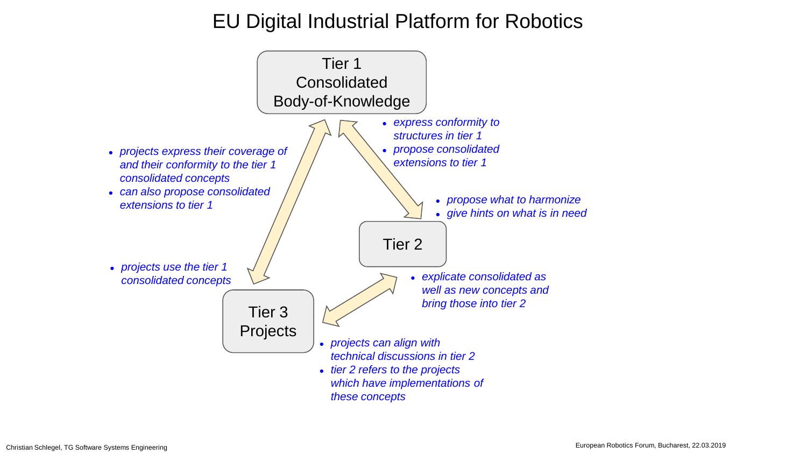